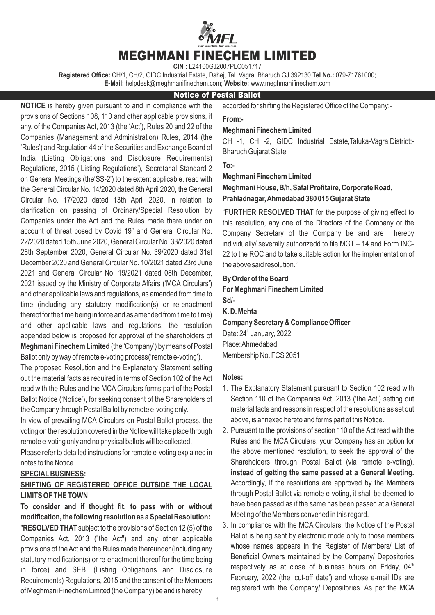MEGHMANI FINECHEM LIMITED Your essentials. Our expertise.

**CIN :** L24100GJ2007PLC051717

**Registered Office:** CH/1, CH/2, GIDC Industrial Estate, Dahej, Tal. Vagra, Bharuch GJ 392130 **Tel No.:** 079-71761000; **E-Mail:** helpdesk@meghmanifinechem.com; **Website:** www.meghmanifinechem.com

### Notice of Postal Ballot

**NOTICE** is hereby given pursuant to and in compliance with the provisions of Sections 108, 110 and other applicable provisions, if any, of the Companies Act, 2013 (the 'Act'), Rules 20 and 22 of the Companies (Management and Administration) Rules, 2014 (the 'Rules') and Regulation 44 of the Securities and Exchange Board of India (Listing Obligations and Disclosure Requirements) Regulations, 2015 ('Listing Regulations'), Secretarial Standard-2 on General Meetings (the'SS-2') to the extent applicable, read with the General Circular No. 14/2020 dated 8th April 2020, the General Circular No. 17/2020 dated 13th April 2020, in relation to clarification on passing of Ordinary/Special Resolution by Companies under the Act and the Rules made there under on account of threat posed by Covid 19" and General Circular No. 22/2020 dated 15th June 2020, General Circular No. 33/2020 dated 28th September 2020, General Circular No. 39/2020 dated 31st December 2020 and General Circular No. 10/2021 dated 23rd June 2021 and General Circular No. 19/2021 dated 08th December, 2021 issued by the Ministry of Corporate Affairs ('MCA Circulars') and other applicable laws and regulations, as amended from time to time (including any statutory modification(s) or re-enactment thereof for the time being in force and as amended from time to time) and other applicable laws and regulations, the resolution appended below is proposed for approval of the shareholders of **Meghmani Finechem Limited** (the 'Company') by means of Postal Ballot only by way of remote e-voting process('remote e-voting').

The proposed Resolution and the Explanatory Statement setting out the material facts as required in terms of Section 102 of the Act read with the Rules and the MCA Circulars forms part of the Postal Ballot Notice ('Notice'), for seeking consent of the Shareholders of the Company through Postal Ballot by remote e-voting only.

In view of prevailing MCA Circulars on Postal Ballot process, the voting on the resolution covered in the Notice will take place through remote e-voting only and no physical ballots will be collected.

Please refer to detailed instructions for remote e-voting explained in notes to the Notice.

### **SPECIALBUSINESS:**

## **SHIFTING OF REGISTERED OFFICE OUTSIDE THE LOCAL LIMITS OF THE TOWN**

**To consider and if thought fit, to pass with or without modification, the following resolution as a Special Resolution:** "**RESOLVED THAT** subject to the provisions of Section 12 (5) of the Companies Act, 2013 ("the Act") and any other applicable provisions of the Act and the Rules made thereunder (including any statutory modification(s) or re-enactment thereof for the time being in force) and SEBI (Listing Obligations and Disclosure Requirements) Regulations, 2015 and the consent of the Members of Meghmani Finechem Limited (the Company) be and is hereby

accorded for shifting the Registered Office of the Company:-

### **From:-**

## **Meghmani Finechem Limited**

CH -1, CH -2, GIDC Industrial Estate,Taluka-Vagra,District:- Bharuch Gujarat State

#### **To:-**

#### **Meghmani Finechem Limited**

# **Meghmani House, B/h, Safal Profitaire, Corporate Road, Prahladnagar, Ahmedabad 380 015 Gujarat State**

"**FURTHER RESOLVED THAT** for the purpose of giving effect to this resolution, any one of the Directors of the Company or the Company Secretary of the Company be and are hereby individually/ severally authorizedd to file MGT – 14 and Form INC-22 to the ROC and to take suitable action for the implementation of the above said resolution."

**By Order of the Board For Meghmani Finechem Limited Sd/- K. D. Mehta Company Secretary & Compliance Officer** Date:  $24<sup>th</sup>$  January, 2022

Place: Ahmedabad Membership No. FCS 2051

#### **Notes:**

- 1. The Explanatory Statement pursuant to Section 102 read with Section 110 of the Companies Act, 2013 ('the Act') setting out material facts and reasons in respect of the resolutions as set out above, is annexed hereto and forms part of this Notice.
- 2. Pursuant to the provisions of section 110 of the Act read with the Rules and the MCA Circulars, your Company has an option for the above mentioned resolution, to seek the approval of the Shareholders through Postal Ballot (via remote e-voting), **instead of getting the same passed at a General Meeting.** Accordingly, if the resolutions are approved by the Members through Postal Ballot via remote e-voting, it shall be deemed to have been passed as if the same has been passed at a General Meeting of the Members convened in this regard.
- 3. In compliance with the MCA Circulars, the Notice of the Postal Ballot is being sent by electronic mode only to those members whose names appears in the Register of Members/ List of Beneficial Owners maintained by the Company/ Depositories respectively as at close of business hours on Friday,  $04<sup>th</sup>$ February, 2022 (the 'cut-off date') and whose e-mail IDs are registered with the Company/ Depositories. As per the MCA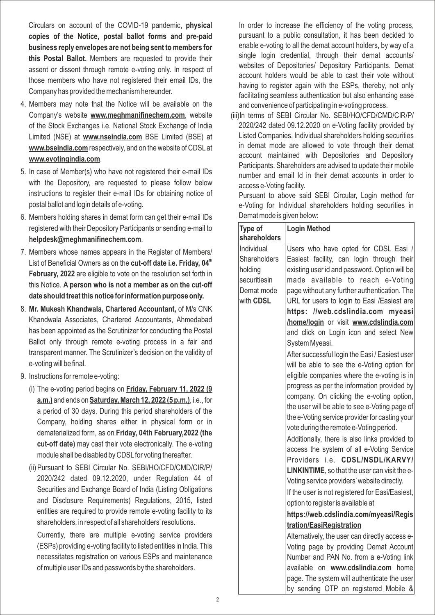Circulars on account of the COVID-19 pandemic, **physical copies of the Notice, postal ballot forms and pre-paid business reply envelopes are not being sent to members for this Postal Ballot.** Members are requested to provide their assent or dissent through remote e-voting only. In respect of those members who have not registered their email IDs, the Company has provided the mechanism hereunder.

- 4. Members may note that the Notice will be available on the Company's website **www.meghmanifinechem.com**, website of the Stock Exchanges i.e. National Stock Exchange of India Limited (NSE) at **www.nseindia.com** BSE Limited (BSE) at **www.bseindia.com** respectively, and on the website of CDSL at **www.evotingindia.com**.
- 5. In case of Member(s) who have not registered their e-mail IDs with the Depository, are requested to please follow below instructions to register their e-mail IDs for obtaining notice of postal ballot and login details of e-voting.
- 6. Members holding shares in demat form can get their e-mail IDs registered with their Depository Participants or sending e-mail to **helpdesk@meghmanifinechem.com**.
- 7. Members whose names appears in the Register of Members/ List of Beneficial Owners as on the **cut-off date i.e. Friday, 04<sup>th</sup> February, 2022** are eligible to vote on the resolution set forth in this Notice. **A person who is not a member as on the cut-off date should treat this notice for information purpose only.**
- 8. **Mr. Mukesh Khandwala, Chartered Accountant,** of M/s CNK Khandwala Associates, Chartered Accountants, Ahmedabad has been appointed as the Scrutinizer for conducting the Postal Ballot only through remote e-voting process in a fair and transparent manner. The Scrutinizer's decision on the validity of e-voting will be final.
- 9. Instructions for remote e-voting:
	- (i) The e-voting period begins on **Friday, February 11, 2022 (9 a.m.)** and ends on **Saturday, March 12, 2022 (5 p.m.)**, i.e., for a period of 30 days. During this period shareholders of the Company, holding shares either in physical form or in dematerialized form, as on **Friday, 04th February,2022 (the cut-off date)** may cast their vote electronically. The e-voting module shall be disabled by CDSL for voting thereafter.
	- (ii) Pursuant to SEBI Circular No. SEBI/HO/CFD/CMD/CIR/P/ 2020/242 dated 09.12.2020, under Regulation 44 of Securities and Exchange Board of India (Listing Obligations and Disclosure Requirements) Regulations, 2015, listed entities are required to provide remote e-voting facility to its shareholders, in respect of all shareholders'resolutions.

Currently, there are multiple e-voting service providers (ESPs) providing e-voting facility to listed entities in India. This necessitates registration on various ESPs and maintenance of multiple user IDs and passwords by the shareholders.

In order to increase the efficiency of the voting process, pursuant to a public consultation, it has been decided to enable e-voting to all the demat account holders, by way of a single login credential, through their demat accounts/ websites of Depositories/ Depository Participants. Demat account holders would be able to cast their vote without having to register again with the ESPs, thereby, not only facilitating seamless authentication but also enhancing ease and convenience of participating in e-voting process.

(iii) In terms of SEBI Circular No. SEBI/HO/CFD/CMD/CIR/P/ 2020/242 dated 09.12.2020 on e-Voting facility provided by Listed Companies, Individual shareholders holding securities in demat mode are allowed to vote through their demat account maintained with Depositories and Depository Participants. Shareholders are advised to update their mobile number and email Id in their demat accounts in order to access e-Voting facility.

Pursuant to above said SEBI Circular, Login method for e-Voting for Individual shareholders holding securities in Demat mode is given below:

| Type of<br>shareholders | <b>Login Method</b>                             |
|-------------------------|-------------------------------------------------|
| Individual              | Users who have opted for CDSL Easi /            |
| Shareholders            | Easiest facility, can login through their       |
| holding                 | existing user id and password. Option will be   |
| securitiesin            | made available to reach e-Voting                |
| Demat mode              | page without any further authentication. The    |
| with CDSL               | URL for users to login to Easi /Easiest are     |
|                         | https: //web.cdslindia.com myeasi               |
|                         | /home/login or visit www.cdslindia.com          |
|                         | and click on Login icon and select New          |
|                         | System Myeasi.                                  |
|                         | After successful login the Easi / Easiest user  |
|                         | will be able to see the e-Voting option for     |
|                         | eligible companies where the e-voting is in     |
|                         | progress as per the information provided by     |
|                         | company. On clicking the e-voting option,       |
|                         | the user will be able to see e-Voting page of   |
|                         | the e-Voting service provider for casting your  |
|                         | vote during the remote e-Voting period.         |
|                         | Additionally, there is also links provided to   |
|                         | access the system of all e-Voting Service       |
|                         | Providers <i>i.e.</i><br>CDSL/NSDL/KARVY/       |
|                         | LINKINTIME, so that the user can visit the e-   |
|                         | Voting service providers' website directly.     |
|                         | If the user is not registered for Easi/Easiest, |
|                         | option to register is available at              |
|                         | https://web.cdslindia.com/myeasi/Regis          |
|                         | tration/EasiRegistration                        |
|                         | Alternatively, the user can directly access e-  |
|                         | Voting page by providing Demat Account          |
|                         | Number and PAN No. from a e-Voting link         |
|                         | available on www.cdslindia.com home             |
|                         | page. The system will authenticate the user     |
|                         | by sending OTP on registered Mobile &           |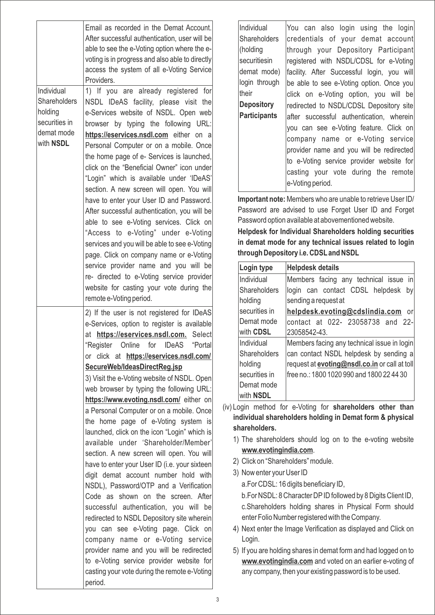|    | Email as recorded in the Demat Account.<br>After successful authentication, user will be<br>able to see the e-Voting option where the e-<br>voting is in progress and also able to directly<br>access the system of all e-Voting Service<br>Providers.                                                                                                                                                                                                                                                                                                                                                                                                                                                                                                                                                                                                                                                                                                                                                                                                                                                               |                                                                                   |
|----|----------------------------------------------------------------------------------------------------------------------------------------------------------------------------------------------------------------------------------------------------------------------------------------------------------------------------------------------------------------------------------------------------------------------------------------------------------------------------------------------------------------------------------------------------------------------------------------------------------------------------------------------------------------------------------------------------------------------------------------------------------------------------------------------------------------------------------------------------------------------------------------------------------------------------------------------------------------------------------------------------------------------------------------------------------------------------------------------------------------------|-----------------------------------------------------------------------------------|
|    | 1) If you are already registered for<br>NSDL IDeAS facility, please visit the<br>e-Services website of NSDL. Open web<br>browser by typing the following URL:<br>https://eservices.nsdl.com either on a<br>Personal Computer or on a mobile. Once<br>the home page of e- Services is launched,<br>click on the "Beneficial Owner" icon under<br>"Login" which is available under 'IDeAS'<br>section. A new screen will open. You will<br>have to enter your User ID and Password.<br>After successful authentication, you will be<br>able to see e-Voting services. Click on<br>"Access to e-Voting" under e-Voting<br>services and you will be able to see e-Voting<br>page. Click on company name or e-Voting<br>service provider name and you will be<br>re- directed to e-Voting service provider<br>website for casting your vote during the<br>remote e-Voting period.                                                                                                                                                                                                                                         | Individual<br>Shareholders<br>holding<br>securities in<br>demat mode<br>with NSDL |
| (i | 2) If the user is not registered for IDeAS<br>e-Services, option to register is available<br>at https://eservices.nsdl.com. Select<br>"Register Online for IDeAS<br>"Portall<br>or click at https://eservices.nsdl.com/<br>SecureWeb/IdeasDirectReg.jsp<br>3) Visit the e-Voting website of NSDL. Open<br>web browser by typing the following URL:<br>https://www.evoting.nsdl.com/ either on<br>a Personal Computer or on a mobile. Once<br>the home page of e-Voting system is<br>launched, click on the icon "Login" which is<br>available under 'Shareholder/Member'<br>section. A new screen will open. You will<br>have to enter your User ID (i.e. your sixteen<br>digit demat account number hold with<br>NSDL), Password/OTP and a Verification<br>Code as shown on the screen. After<br>successful authentication, you will be<br>redirected to NSDL Depository site wherein<br>you can see e-Voting page. Click on<br>company name or e-Voting service<br>provider name and you will be redirected<br>to e-Voting service provider website for<br>casting your vote during the remote e-Voting<br>period. |                                                                                   |

Individual **Shareholders** (holding securitiesin demat mode) login through their **Depository Participants** You can also login using the login credentials of your demat account through your Depository Participant registered with NSDL/CDSL for e-Voting facility. After Successful login, you will be able to see e-Voting option. Once you click on e-Voting option, you will be redirected to NSDL/CDSL Depository site after successful authentication, wherein you can see e-Voting feature. Click on company name or e-Voting service provider name and you will be redirected to e-Voting service provider website for casting your vote during the remote e-Voting period.

**Important note:** Members who are unable to retrieve User ID/ Password are advised to use Forget User ID and Forget Password option available at abovementioned website.

**Helpdesk for Individual Shareholders holding securities in demat mode for any technical issues related to login through Depository i.e. CDSLand NSDL**

| Login type       | <b>Helpdesk details</b>                              |
|------------------|------------------------------------------------------|
| Individual       | Members facing any technical issue in                |
| Shareholders     | login can contact CDSL helpdesk<br>by                |
| holding          | sending a request at                                 |
| securities in    | helpdesk.evoting@cdslindia.com<br>or                 |
| Demat mode       | contact at 022- 23058738 and 22-                     |
| with <b>CDSL</b> | 23058542-43.                                         |
| Individual       | Members facing any technical issue in login          |
| Shareholders     | can contact NSDL helpdesk by sending a               |
| holding          | request at <b>evoting@nsdl.co.in</b> or call at toll |
| securities in    | free no.: 1800 1020 990 and 1800 22 44 30            |
| Demat mode       |                                                      |
| with <b>NSDL</b> |                                                      |

(iv) Login method for e-Voting for **shareholders other than individual shareholders holding in Demat form & physical shareholders.**

- 1) The shareholders should log on to the e-voting website **www.evotingindia.com**.
- 2) Click on "Shareholders" module.
- 3) Now enter your User ID a. For CDSL: 16 digits beneficiary ID, b. For NSDL: 8 Character DPID followed by 8 Digits Client ID, c. Shareholders holding shares in Physical Form should enter Folio Number registered with the Company.
- 4) Next enter the Image Verification as displayed and Click on Login.
- 5) If you are holding shares in demat form and had logged on to **www.evotingindia.com** and voted on an earlier e-voting of any company, then your existing password is to be used.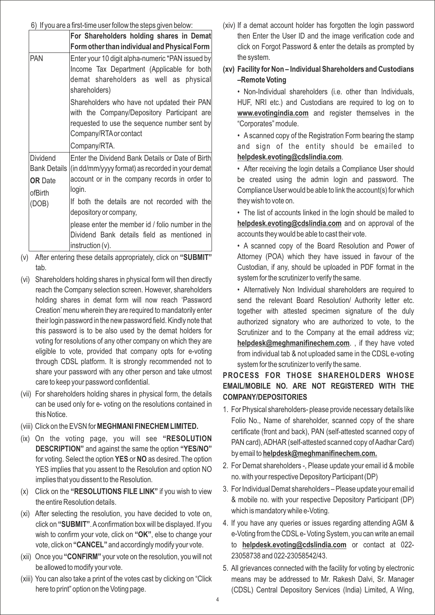### 6) If you are a first-time user follow the steps given below:

|                                                       | For Shareholders holding shares in Demat<br>Form other than individual and Physical Form                                                                                                                                                                                                                    |
|-------------------------------------------------------|-------------------------------------------------------------------------------------------------------------------------------------------------------------------------------------------------------------------------------------------------------------------------------------------------------------|
| PAN                                                   | Enter your 10 digit alpha-numeric *PAN issued by<br>Income Tax Department (Applicable for both<br>demat shareholders as well as physical<br>shareholders)<br>Shareholders who have not updated their PAN                                                                                                    |
|                                                       | with the Company/Depository Participant are<br>requested to use the sequence number sent by<br>Company/RTA or contact<br>Company/RTA.                                                                                                                                                                       |
| <b>Dividend</b><br><b>OR</b> Date<br>ofBirth<br>(DOB) | Enter the Dividend Bank Details or Date of Birth<br>Bank Details (in dd/mm/yyyy format) as recorded in your demat<br>account or in the company records in order to<br>login.<br>If both the details are not recorded with the<br>depository or company,<br>please enter the member id / folio number in the |
|                                                       | Dividend Bank details field as mentioned in<br>$\text{instruction}(\mathsf{v})$ .                                                                                                                                                                                                                           |

- (v) After entering these details appropriately, click on **"SUBMIT"** tab.
- (vi) Shareholders holding shares in physical form will then directly reach the Company selection screen. However, shareholders holding shares in demat form will now reach 'Password Creation'menu wherein they are required to mandatorily enter their login password in the new password field. Kindly note that this password is to be also used by the demat holders for voting for resolutions of any other company on which they are eligible to vote, provided that company opts for e-voting through CDSL platform. It is strongly recommended not to share your password with any other person and take utmost care to keep your password confidential.
- (vii) For shareholders holding shares in physical form, the details can be used only for e- voting on the resolutions contained in this Notice.
- (viii) Click on the EVSN for **MEGHMANI FINECHEM LIMITED.**
- (ix) On the voting page, you will see **"RESOLUTION DESCRIPTION"** and against the same the option **"YES/NO"** for voting. Select the option **YES** or **NO** as desired. The option YES implies that you assent to the Resolution and option NO implies that you dissent to the Resolution.
- (x) Click on the **"RESOLUTIONS FILE LINK"** if you wish to view the entire Resolution details.
- (xi) After selecting the resolution, you have decided to vote on, click on **"SUBMIT"**. Aconfirmation box will be displayed. If you wish to confirm your vote, click on **"OK"**, else to change your vote, click on **"CANCEL"** and accordingly modify your vote.
- (xii) Once you **"CONFIRM"** your vote on the resolution, you will not be allowed to modify your vote.
- (xiii) You can also take a print of the votes cast by clicking on "Click here to print" option on the Voting page.
- (xiv) If a demat account holder has forgotten the login password then Enter the User ID and the image verification code and click on Forgot Password & enter the details as prompted by the system.
- **(xv) Facility for Non Individual Shareholders and Custodians –Remote Voting**

• Non-Individual shareholders (i.e. other than Individuals, HUF, NRI etc.) and Custodians are required to log on to **www.evotingindia.com** and register themselves in the "Corporates" module.

• A scanned copy of the Registration Form bearing the stamp and sign of the entity should be emailed to **helpdesk.evoting@cdslindia.com**.

• After receiving the login details a Compliance User should be created using the admin login and password. The Compliance User would be able to link the account(s) for which they wish to vote on.

• The list of accounts linked in the login should be mailed to **helpdesk.evoting@cdslindia.com** and on approval of the accounts they would be able to cast their vote.

• A scanned copy of the Board Resolution and Power of Attorney (POA) which they have issued in favour of the Custodian, if any, should be uploaded in PDF format in the system for the scrutinizer to verify the same.

• Alternatively Non Individual shareholders are required to send the relevant Board Resolution/ Authority letter etc. together with attested specimen signature of the duly authorized signatory who are authorized to vote, to the Scrutinizer and to the Company at the email address viz; **helpdesk@meghmanifinechem.com**. , if they have voted from individual tab & not uploaded same in the CDSL e-voting system for the scrutinizer to verify the same.

# **PROCESS FOR THOSE SHAREHOLDERS WHOSE EMAIL/MOBILE NO. ARE NOT REGISTERED WITH THE COMPANY/DEPOSITORIES**

- 1. For Physical shareholders- please provide necessary details like Folio No., Name of shareholder, scanned copy of the share certificate (front and back), PAN (self-attested scanned copy of PAN card), ADHAR (self-attested scanned copy of Aadhar Card) by email to **helpdesk@meghmanifinechem.com.**
- 2. For Demat shareholders -, Please update your email id & mobile no. with your respective Depository Participant (DP)
- 3. For Individual Demat shareholders Please update your email id & mobile no. with your respective Depository Participant (DP) which is mandatory while e-Voting.
- 4. If you have any queries or issues regarding attending AGM & e-Voting from the CDSLe- Voting System, you can write an email to **helpdesk.evoting@cdslindia.com** or contact at 022- 23058738 and 022-23058542/43.
- 5. All grievances connected with the facility for voting by electronic means may be addressed to Mr. Rakesh Dalvi, Sr. Manager (CDSL) Central Depository Services (India) Limited, A Wing,